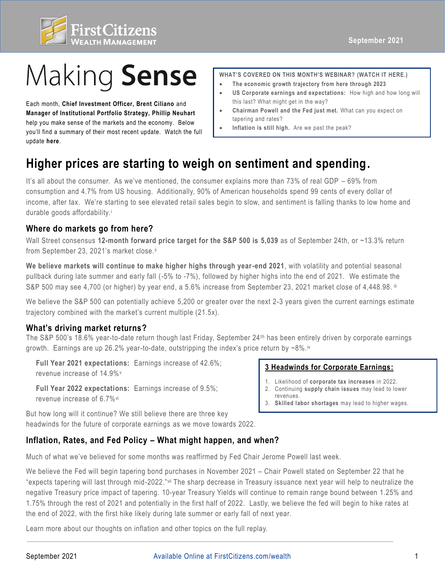

# Making **Sense**

this last? What might get in the way? Each month, **Chief Investment Officer, Brent Ciliano** and **Manager of Institutional Portfolio Strategy, Phillip Neuhart**  help you make sense of the markets and the economy. Below you'll find a summary of their most recent update. Watch the full update **here**.

**WHAT'S COVERED ON THIS MONTH'S WEBINAR? (WATCH IT HERE.)** 

- **The economic growth trajectory from here through 2023**
- **US Corporate earnings and expectations:** How high and how long will
- **Chairman Powell and the Fed just met.** What can you expect on tapering and rates?
- **Inflation is still high.** Are we past the peak?

## **Higher prices are starting to weigh on sentiment and spending.**

It's all about the consumer. As we've mentioned, the consumer explains more than 73% of real GDP – 69% from consumption and 4.7% from US housing. Additionally, 90% of American households spend 99 cents of every dollar of income, after tax. We're starting to see elevated retail sales begin to slow, and sentiment is falling thanks to low home and durable goods affordability.i

### **Where do markets go from here?**

Wall Street consensus 12-month forward price target for the S&P 500 is 5,039 as of September 24th, or ~13.3% return from September 23, 2021's market close.<sup>ii</sup>

**We believe markets will continue to make higher highs through year -end 2021**, with volatility and potential seasonal pullback during late summer and early fall (-5% to -7%), followed by higher highs into the end of 2021. We estimate the S&P 500 may see 4,700 (or higher) by year end, a 5.6% increase from September 23, 2021 market close of 4,448.98. iii

We believe the S&P 500 can potentially achieve 5,200 or greater over the next 2-3 years given the current earnings estimate trajectory combined with the market's current multiple (21.5x).

### **What's driving market returns?**

The S&P 500's 18.6% year-to-date return though last Friday, September 24th has been entirely driven by corporate earnings growth. Earnings are up 26.2% year-to-date, outstripping the index's price return by ~8%.iv

**Full Year 2021 expectations:** Earnings increase of 42.6%; run rear zuz Fexpectations. Lamings increase or 42.0%,<br>**3 Headwinds for Corporate Earnings: 3** 

**Full Year 2022 expectations:** Earnings increase of 9.5%; revenue increase of 6.7%vi

- 1. Likelihood of **corporate tax increases** in 2022.
- 2. Continuing **supply chain issues** may lead to lower revenues.
- 3. **Skilled labor shortages** may lead to higher wages.

But how long will it continue? We still believe there are three key headwinds for the future of corporate earnings as we move towards 2022.

### **Inflation, Rates, and Fed Policy – What might happen, and when?**

Much of what we've believed for some months was reaffirmed by Fed Chair Jerome Powell last week.

We believe the Fed will begin tapering bond purchases in November 2021 – Chair Powell stated on September 22 that he "expects tapering will last through mid-2022."vii The sharp decrease in Treasury issuance next year will help to neutralize the negative Treasury price impact of tapering. 10-year Treasury Yields will continue to remain range bound between 1.25% and 1.75% through the rest of 2021 and potentially in the first half of 2022. Lastly, we believe the fed will begin to hike rates at the end of 2022, with the first hike likely during late summer or early fall of next year.

Learn more about our thoughts on inflation and other topics on the full replay.